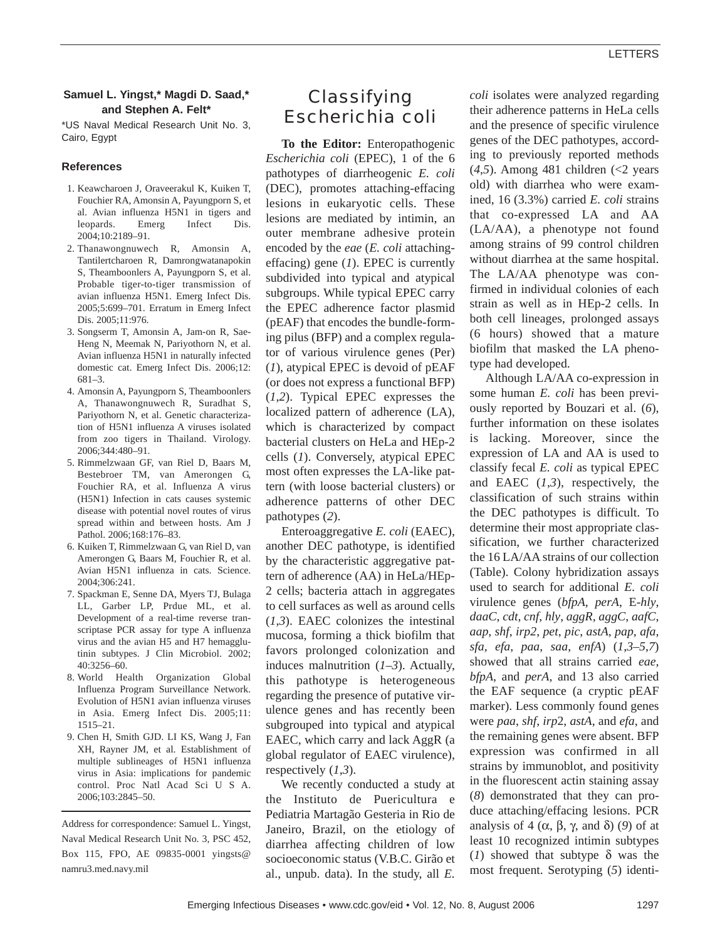### **Samuel L. Yingst,\* Magdi D. Saad,\* and Stephen A. Felt\***

\*US Naval Medical Research Unit No. 3, Cairo, Egypt

#### **References**

- 1. Keawcharoen J, Oraveerakul K, Kuiken T, Fouchier RA, Amonsin A, Payungporn S, et al. Avian influenza H5N1 in tigers and leopards. Emerg Infect Dis. 2004;10:2189–91.
- 2. Thanawongnuwech R, Amonsin A, Tantilertcharoen R, Damrongwatanapokin S, Theamboonlers A, Payungporn S, et al. Probable tiger-to-tiger transmission of avian influenza H5N1. Emerg Infect Dis. 2005;5:699–701. Erratum in Emerg Infect Dis. 2005;11:976.
- 3. Songserm T, Amonsin A, Jam-on R, Sae-Heng N, Meemak N, Pariyothorn N, et al. Avian influenza H5N1 in naturally infected domestic cat. Emerg Infect Dis. 2006;12: 681–3.
- 4. Amonsin A, Payungporn S, Theamboonlers A, Thanawongnuwech R, Suradhat S, Pariyothorn N, et al. Genetic characterization of H5N1 influenza A viruses isolated from zoo tigers in Thailand. Virology. 2006;344:480–91.
- 5. Rimmelzwaan GF, van Riel D, Baars M, Bestebroer TM, van Amerongen G, Fouchier RA, et al. Influenza A virus (H5N1) Infection in cats causes systemic disease with potential novel routes of virus spread within and between hosts. Am J Pathol. 2006;168:176–83.
- 6. Kuiken T, Rimmelzwaan G, van Riel D, van Amerongen G, Baars M, Fouchier R, et al. Avian H5N1 influenza in cats. Science. 2004;306:241.
- 7. Spackman E, Senne DA, Myers TJ, Bulaga LL, Garber LP, Prdue ML, et al. Development of a real-time reverse transcriptase PCR assay for type A influenza virus and the avian H5 and H7 hemagglutinin subtypes. J Clin Microbiol. 2002; 40:3256–60.
- 8. World Health Organization Global Influenza Program Surveillance Network. Evolution of H5N1 avian influenza viruses in Asia. Emerg Infect Dis. 2005;11: 1515–21.
- 9. Chen H, Smith GJD. LI KS, Wang J, Fan XH, Rayner JM, et al. Establishment of multiple sublineages of H5N1 influenza virus in Asia: implications for pandemic control. Proc Natl Acad Sci U S A. 2006;103:2845–50.

Address for correspondence: Samuel L. Yingst, Naval Medical Research Unit No. 3, PSC 452, Box 115, FPO, AE 09835-0001 yingsts@ namru3.med.navy.mil

# **Classifying** *Escherichia coli*

**To the Editor:** Enteropathogenic *Escherichia coli* (EPEC), 1 of the 6 pathotypes of diarrheogenic *E. coli* (DEC), promotes attaching-effacing lesions in eukaryotic cells. These lesions are mediated by intimin, an outer membrane adhesive protein encoded by the *eae* (*E. coli* attachingeffacing) gene (*1*). EPEC is currently subdivided into typical and atypical subgroups. While typical EPEC carry the EPEC adherence factor plasmid (pEAF) that encodes the bundle-forming pilus (BFP) and a complex regulator of various virulence genes (Per) (*1*), atypical EPEC is devoid of pEAF (or does not express a functional BFP) (*1*,*2*). Typical EPEC expresses the localized pattern of adherence (LA), which is characterized by compact bacterial clusters on HeLa and HEp-2 cells (*1*). Conversely, atypical EPEC most often expresses the LA-like pattern (with loose bacterial clusters) or adherence patterns of other DEC pathotypes (*2*).

Enteroaggregative *E. coli* (EAEC), another DEC pathotype, is identified by the characteristic aggregative pattern of adherence (AA) in HeLa/HEp-2 cells; bacteria attach in aggregates to cell surfaces as well as around cells (*1*,*3*). EAEC colonizes the intestinal mucosa, forming a thick biofilm that favors prolonged colonization and induces malnutrition (*1*–*3*). Actually, this pathotype is heterogeneous regarding the presence of putative virulence genes and has recently been subgrouped into typical and atypical EAEC, which carry and lack AggR (a global regulator of EAEC virulence), respectively (*1*,*3*).

We recently conducted a study at the Instituto de Puericultura e Pediatria Martagão Gesteria in Rio de Janeiro, Brazil, on the etiology of diarrhea affecting children of low socioeconomic status (V.B.C. Girão et al., unpub. data). In the study, all *E.*

*coli* isolates were analyzed regarding their adherence patterns in HeLa cells and the presence of specific virulence genes of the DEC pathotypes, according to previously reported methods (*4*,*5*). Among 481 children (<2 years old) with diarrhea who were examined, 16 (3.3%) carried *E. coli* strains that co-expressed LA and AA (LA/AA), a phenotype not found among strains of 99 control children without diarrhea at the same hospital. The LA/AA phenotype was confirmed in individual colonies of each strain as well as in HEp-2 cells. In both cell lineages, prolonged assays (6 hours) showed that a mature biofilm that masked the LA phenotype had developed.

Although LA/AA co-expression in some human *E. coli* has been previously reported by Bouzari et al. (*6*), further information on these isolates is lacking. Moreover, since the expression of LA and AA is used to classify fecal *E. coli* as typical EPEC and EAEC (*1*,*3*), respectively, the classification of such strains within the DEC pathotypes is difficult. To determine their most appropriate classification, we further characterized the 16 LA/AA strains of our collection (Table). Colony hybridization assays used to search for additional *E. coli* virulence genes (*bfpA*, *perA*, E-*hly*, *daaC*, *cdt*, *cnf*, *hly*, *aggR, aggC*, *aafC*, *aap*, *shf*, *irp2*, *pet*, *pic*, *astA*, *pap*, *afa*, *sfa*, *efa*, *paa*, *saa*, *enfA*) (*1*,*3*–*5*,*7*) showed that all strains carried *eae, bfpA*, and *perA*, and 13 also carried the EAF sequence (a cryptic pEAF marker). Less commonly found genes were *paa*, *shf*, *irp*2, *astA*, and *efa*, and the remaining genes were absent. BFP expression was confirmed in all strains by immunoblot, and positivity in the fluorescent actin staining assay (*8*) demonstrated that they can produce attaching/effacing lesions. PCR analysis of 4 ( $\alpha$ ,  $\beta$ ,  $\gamma$ , and  $\delta$ ) (9) of at least 10 recognized intimin subtypes (*1*) showed that subtype  $\delta$  was the most frequent. Serotyping (*5*) identi-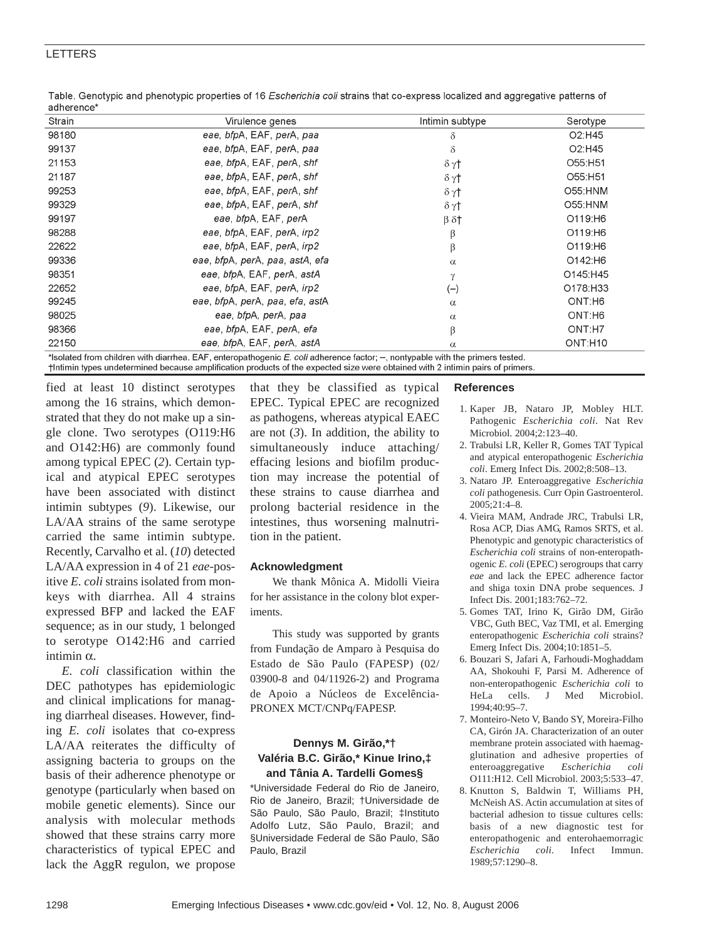## LETTERS

| auncrence<br>Strain | Virulence genes                                                                                                              | Intimin subtype    | Serotype                        |
|---------------------|------------------------------------------------------------------------------------------------------------------------------|--------------------|---------------------------------|
| 98180               | eae, bfpA, EAF, perA, paa                                                                                                    | δ                  | O <sub>2</sub> :H <sub>45</sub> |
| 99137               | eae, bfpA, EAF, perA, paa                                                                                                    | $\delta$           | O <sub>2</sub> :H <sub>45</sub> |
| 21153               | eae, bfpA, EAF, perA, shf                                                                                                    | $\delta \gamma$ †  | O55:H51                         |
| 21187               | eae, bfpA, EAF, perA, shf                                                                                                    | $\delta \gamma$ †  | O55:H51                         |
| 99253               | eae, bfpA, EAF, perA, shf                                                                                                    | $\delta \gamma$ †  | O55:HNM                         |
| 99329               | eae, bfpA, EAF, perA, shf                                                                                                    | $\delta \gamma$ †  | O55:HNM                         |
| 99197               | eae, bfpA, EAF, perA                                                                                                         | $\beta$ $\delta$ † | O119:H6                         |
| 98288               | eae, bfpA, EAF, perA, irp2                                                                                                   | β                  | O119:H6                         |
| 22622               | eae, bfpA, EAF, perA, irp2                                                                                                   | β                  | O119:H6                         |
| 99336               | eae, bfpA, perA, paa, astA, efa                                                                                              | $\alpha$           | O142:H6                         |
| 98351               | eae, bfpA, EAF, perA, astA                                                                                                   | γ                  | O145:H45                        |
| 22652               | eae, bfpA, EAF, perA, irp2                                                                                                   | $(-)$              | O178:H33                        |
| 99245               | eae, bfpA, perA, paa, efa, astA                                                                                              | $\alpha$           | ONT.H6                          |
| 98025               | eae, bfpA, perA, paa                                                                                                         | $\alpha$           | ONT:H6                          |
| 98366               | eae, bfpA, EAF, perA, efa                                                                                                    | β                  | ONT:H7                          |
| 22150               | eae, bfpA, EAF, perA, astA                                                                                                   | $\alpha$           | ONT:H10                         |
|                     | $*$ looloted from obildren with diorrhoo. EAE, onterprethesenia E, coli adherenne feater: spentuable with the primera teated |                    |                                 |

Table. Genotypic and phenotypic properties of 16 Escherichia coli strains that co-express localized and aggregative patterns of adherence<sup>\*</sup>

lsolated from children with diarrhea. EAF, enteropathogenic *E. coli* adherence factor; –, nontypable with the primers tested. †Intimin types undetermined because amplification products of the expected size were obtained with 2 intimin pairs of primers

fied at least 10 distinct serotypes among the 16 strains, which demonstrated that they do not make up a single clone. Two serotypes (O119:H6 and O142:H6) are commonly found among typical EPEC (*2*). Certain typical and atypical EPEC serotypes have been associated with distinct intimin subtypes (*9*). Likewise, our LA/AA strains of the same serotype carried the same intimin subtype. Recently, Carvalho et al. (*10*) detected LA/AA expression in 4 of 21 *eae*-positive *E. coli* strains isolated from monkeys with diarrhea. All 4 strains expressed BFP and lacked the EAF sequence; as in our study, 1 belonged to serotype O142:H6 and carried intimin  $α$ .

*E. coli* classification within the DEC pathotypes has epidemiologic and clinical implications for managing diarrheal diseases. However, finding *E. coli* isolates that co-express LA/AA reiterates the difficulty of assigning bacteria to groups on the basis of their adherence phenotype or genotype (particularly when based on mobile genetic elements). Since our analysis with molecular methods showed that these strains carry more characteristics of typical EPEC and lack the AggR regulon, we propose that they be classified as typical EPEC. Typical EPEC are recognized as pathogens, whereas atypical EAEC are not  $(3)$ . In addition, the ability to simultaneously induce attaching/ effacing lesions and biofilm production may increase the potential of these strains to cause diarrhea and prolong bacterial residence in the intestines, thus worsening malnutrition in the patient.

### **Acknowledgment**

We thank Mônica A. Midolli Vieira for her assistance in the colony blot experiments.

This study was supported by grants from Fundação de Amparo à Pesquisa do Estado de São Paulo (FAPESP) (02/ 03900-8 and 04/11926-2) and Programa de Apoio a Núcleos de Excelência-PRONEX MCT/CNPq/FAPESP.

## **Dennys M. Girão,\*† Valéria B.C. Girão,\* Kinue Irino,‡ and Tânia A. Tardelli Gomes§**

\*Universidade Federal do Rio de Janeiro, Rio de Janeiro, Brazil; †Universidade de São Paulo, São Paulo, Brazil; ‡Instituto Adolfo Lutz, São Paulo, Brazil; and §Universidade Federal de São Paulo, São Paulo, Brazil

#### **References**

- 1. Kaper JB, Nataro JP, Mobley HLT. Pathogenic *Escherichia coli*. Nat Rev Microbiol. 2004;2:123–40.
- 2. Trabulsi LR, Keller R, Gomes TAT Typical and atypical enteropathogenic *Escherichia coli*. Emerg Infect Dis. 2002;8:508–13.
- 3. Nataro JP. Enteroaggregative *Escherichia coli* pathogenesis. Curr Opin Gastroenterol. 2005;21:4–8.
- 4. Vieira MAM, Andrade JRC, Trabulsi LR, Rosa ACP, Dias AMG, Ramos SRTS, et al. Phenotypic and genotypic characteristics of *Escherichia coli* strains of non-enteropathogenic *E. coli* (EPEC) serogroups that carry *eae* and lack the EPEC adherence factor and shiga toxin DNA probe sequences. J Infect Dis. 2001;183:762–72.
- 5. Gomes TAT, Irino K, Girão DM, Girão VBC, Guth BEC, Vaz TMI, et al. Emerging enteropathogenic *Escherichia coli* strains? Emerg Infect Dis. 2004;10:1851–5.
- 6. Bouzari S, Jafari A, Farhoudi-Moghaddam AA, Shokouhi F, Parsi M. Adherence of non-enteropathogenic *Escherichia coli* to HeLa cells. J Med Microbiol. 1994;40:95–7.
- 7. Monteiro-Neto V, Bando SY, Moreira-Filho CA, Girón JA. Characterization of an outer membrane protein associated with haemagglutination and adhesive properties of enteroaggregative *Escherichia coli* O111:H12. Cell Microbiol. 2003;5:533–47.
- 8. Knutton S, Baldwin T, Williams PH, McNeish AS. Actin accumulation at sites of bacterial adhesion to tissue cultures cells: basis of a new diagnostic test for enteropathogenic and enterohaemorragic *Escherichia coli*. Infect Immun. 1989;57:1290–8.